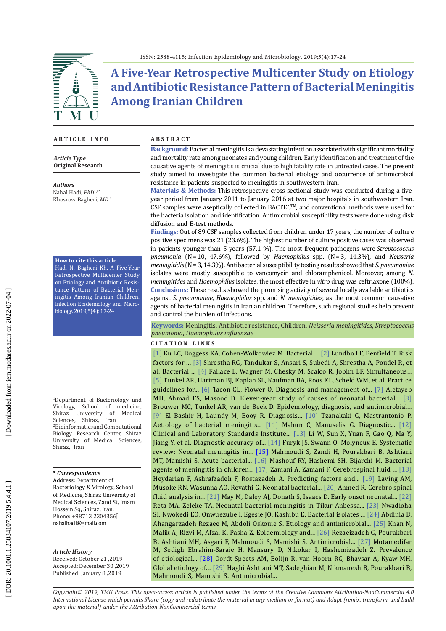

# **A Five-Year Retrospective Multicenter Study on Etiology and Antibiotic Resistance Pattern of Bacterial Meningitis Among Iranian Children**

### **A R T I C L E I N F O**

*Article Type* **Original Research**

*Authors* Nahal Hadi, *PhD*1,2\* Khosrow Bagheri, *MD*  2

#### **How to cite this article**

Hadi N. Bagheri Kh, A Five-Year Retrospective Multicenter Study on Etiology and Antibiotic Resis tance Pattern of Bacterial Men ingitis Among Iranian Children. Infection Epidemiology and Micro biology. 2019;5(4): 17-24

1 Department of Bacteriology and Virology, School of medicine,<br>Shiraz University of Medical Shiraz University Sciences, Shiraz, Iran 2 Bioinformatics and Computational Biology Research Center, Shiraz University of Medical Sciences, Shiraz, Iran

#### **\*** *Correspondence*

Address: Department of Bacteriology & Virology, School of Medicine, Shiraz University of Medical Sciences, Zand St, Imam Hossein Sq, Shiraz, Iran . Phone: +98713 2304356 nahalhadi@gmail.com

#### *Article History*

Received: October 21 ,2019 Accepted: December 30 ,2019 Published: January 8 ,2019

#### **A B S T R A C T**

**Background:** Bacterial meningitis is a devastating infection associated with significant morbidity and mortality rate among neonates and young children. Early identification and treatment of the causative agents of meningitis is crucial due to high fatality rate in untreated cases. The present study aimed to investigate the common bacterial etiology and occurrence of antimicrobial resistance in patients suspected to meningitis in southwestern Iran.

**Materials & Methods:** This retrospective cross-sectional study was conducted during a fiveyear period from January 2011 to January 2016 at two major hospitals in southwestern Iran. CSF samples were aseptically collected in BACTEC™, and conventional methods were used for the bacteria isolation and identification. Antimicrobial susceptibility tests were done using disk diffusion and E-test methods.

**Findings:** Out of 89 CSF samples collected from children under 17 years, the number of culture positive specimens was 21 (23.6%). The highest number of culture positive cases was observed in patients younger than 5 years (57.1 %). The most frequent pathogens were *Streptococcus pneumonia* (N = 10, 47.6%), followed by *Haemophilus* spp. (N = 3, 14.3%), and *Neisseria meningitidis* (N = 3, 14.3%). Antibacterial susceptibility testing results showed that *S. pneumoniae* isolates were mostly susceptible to vancomycin and chloramphenicol. Moreover, among *N. meningitides* and *Haemophilus* isolates, the most effective in *vitro* drug was ceftriaxone (100%). **Conclusions:** These results showed the promising activity of several locally available antibiotics against *S. pneumoniae*, *Haemophilus* spp. and *N. meningitides,* as the most common causative agents of bacterial meningitis in Iranian children. Therefore, such regional studies help prevent and control the burden of infections.

**Keywords:** Meningitis, Antibiotic resistance, Children, *Neisseria meningitides*, *Streptococcus pneumonia*, *Haemophilus influenzae*

#### **C I T A T I O N L I N K S**

[ [1](https://www.ncbi.nlm.nih.gov/pubmed/25677995) ] Ku LC, Boggess KA, Cohen-Wolkowiez M. Bacterial ... [ [2](https://www.ncbi.nlm.nih.gov/pubmed/28301990) ] Lundbo LF, Benfield T. Risk factors for ... [ [3](https://bmcpediatr.biomedcentral.com/articles/10.1186/s12887-015-0416-6) ] Shrestha RG, Tandukar S, Ansari S, Subedi A, Shrestha A, Poudel R, et al. Bacterial ... [[4](http://www.scielo.br/scielo.php?script=sci_arttext&pid=S0004-282X2005000600003)] Failace L, Wagner M, Chesky M, Scalco R, Jobim LF. Simultaneous... [ [5](https://www.ncbi.nlm.nih.gov/pubmed/15494903) ] Tunkel AR, Hartman BJ, Kaplan SL, Kaufman BA, Roos KL, Scheld WM, et al. Practice guidelines for... [[6](https://www.ncbi.nlm.nih.gov/pubmed/23050153)] Tacon CL, Flower O. Diagnosis and management of... [[7](https://www.ncbi.nlm.nih.gov/pubmed/20202151)] Aletayeb MH, Ahmad FS, Masood D. Eleven-year study of causes of neonatal bacterial... [ [8\]](https://www.ncbi.nlm.nih.gov/pubmed/20610819)  [Bro](https://www.ncbi.nlm.nih.gov/pubmed/12818910)uwer MC, Tunkel AR, van de Beek D. Epidemi[ology,](https://www.ncbi.nlm.nih.gov/pubmed/17368858) diagnosis, and antimicrobial... [\[9\]](https://www.ncbi.nlm.nih.gov/pubmed/12818910) El Bashir H, Laundy M, Booy R. Diagnosis... [\[10\]](https://www.ncbi.nlm.nih.gov/pubmed/17368858) Tzanakaki G, Mastrantonio P. Aetiology of bacterial meningitis... [\[11](https://trove.nla.gov.au/work/28693479?selectedversion=NBD40984474) ] Mahun C, Manuselis G. Diagnostic... [\[12](http://file.qums.ac.ir/repository/mmrc/clsi%202017.pdf) ] Clinical and Laboratory Standards Institute... [\[13](https://www.ncbi.nlm.nih.gov/pubmed/28179405) ] Li W, Sun X, Yuan F, Gao Q, Ma Y, Jiang Y, et al. Diagnostic accuracy of... [\[14](https://www.ncbi.nlm.nih.gov/pubmed/21395927) ] Furyk JS, Swann O, Molyneux E. Systematic review: Neonatal meningitis in... [\[15](https://www.ncbi.nlm.nih.gov/pubmed/24270138) ] Mahmoudi S, Zandi H, Pourakbari B, Ashtiani MT, Mamishi S. Acute bacterial... [\[16](https://www.semanticscholar.org/paper/Study-of-Bacterial-Agents-of-Meningitis-in-Children-Mashouf-Esmaeili/b2ec2d010260702b69de2110a54602fa9bb3c148)] Mashouf RY, Hashemi SH, Bijarchi M. Bacterial agents of meningitis in children...  $[17]$  $[17]$  Zamani A, Zamani F. Cerebrospinal fluid ...  $[18]$  $[18]$ Heydarian F, Ashrafzadeh F, Rostazadeh A. Predicting factors and... [\[19](https://www.ncbi.nlm.nih.gov/pubmed/14640166) ] Laving AM, Musoke RN, Wasunna AO, Revathi G. Neonatal bacterial... [\[20](https://www.researchgate.net/publication/224919817_Cerebro_Spinal_Fluid_Analysis_in_Childhood_Bacterial_Meningitis) ] Ahmed R. Cerebro spinal fluid analysis in... [\[21](https://www.ncbi.nlm.nih.gov/pubmed/15878934)] May M, Daley AJ, Donath S, Isaacs D. Early onset neonatal... [\[22](https://www.ncbi.nlm.nih.gov/pubmed/27917346)] Reta MA, Zeleke TA. Neonatal bacterial meningitis in Tikur Anbessa... [\[23](https://www.ncbi.nlm.nih.gov/pubmed/23661203) ] Nwadioha SI, Nwokedi EO, Onwuezube I, Egesie JO, Kashibu E. Bacterial isolates ... [\[24](https://www.ncbi.nlm.nih.gov/pmc/articles/PMC4166102/) ] Abdinia B, Ahangarzadeh Rezaee M, Abdoli Oskouie S. Etiology and antimicrobial... [\[25](https://www.sciencedirect.com/science/article/pii/S2222180814607349) ] Khan N, Malik A, Rizvi M, Afzal K, Pasha Z. Epidemiology and... [\[26](https://www.ncbi.nlm.nih.gov/pubmed/23399784) ] Rezaeizadeh G, Pourakbari B, Ashtiani MH, Asgari F, Mahmoudi S, Mamishi S. Antimicrobial... [\[27](http://archcid.com/en/articles/20953.html) ] Motamedifar M, Sedigh Ebrahim-Saraie H, Mansury D, Nikokar I, Hashemizadeh Z. Prevalence of etiological... [\[28](https://www.ncbi.nlm.nih.gov/pubmed/29889859) ] Oordt-Speets AM, Bolijn R, van Hoorn RC, Bhavsar A, Kyaw MH. Global etiology of... [\[29](https://www.ncbi.nlm.nih.gov/pubmed/25926954) ] Haghi Ashtiani MT, Sadeghian M, Nikmanesh B, Pourakbari B, Mahmoudi S, Mamishi S. Antimicrobial...

*Copyright© 2019, TMU Press. This open-access article is published under the terms of the Creative Commons Attribution-NonCommercial 4.0 International License which permits Share (copy and redistribute the material in any medium or format) and Adapt (remix, transform, and build upon the material) under the Attribution-NonCommercial terms.*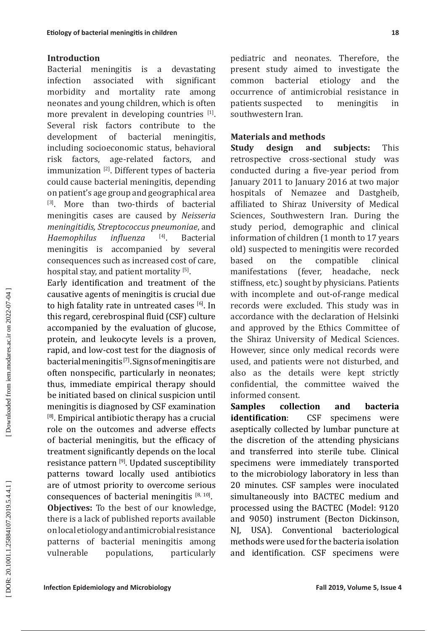### **Introduction**

Bacterial meningitis is a devastating infection associated with significant morbidity and mortality rate among neonates and young children, which is often more prevalent in developing countries [1]. Several risk factors contribute to the development of bacterial meningitis, including socioeconomic status, behavioral risk factors, age-related factors, and immunization<sup>[2]</sup>. Different types of bacteria could cause bacterial meningitis, depending on patient's age group and geographical area [3]. More than two-thirds of bacterial meningitis cases are caused by *Neisseria meningitidis, Streptococcus pneumoniae*, and *Haemophilus influenza* [4]. Bacterial meningitis is accompanied by several consequences such as increased cost of care, hospital stay, and patient mortality [5].

Early identification and treatment of the causative agents of meningitis is crucial due to high fatality rate in untreated cases [6]. In this regard, cerebrospinal fluid (CSF) culture accompanied by the evaluation of glucose, protein, and leukocyte levels is a proven, rapid, and low-cost test for the diagnosis of bacterial meningitis [7]. Signs of meningitis are often nonspecific, particularly in neonates; thus, immediate empirical therapy should be initiated based on clinical suspicion until meningitis is diagnosed by CSF examination  $^{[8]}$ . Empirical antibiotic therapy has a crucial role on the outcomes and adverse effects of bacterial meningitis, but the efficacy of treatment significantly depends on the local resistance pattern<sup>[9]</sup>. Updated susceptibility patterns toward locally used antibiotics are of utmost priority to overcome serious consequences of bacterial meningitis  $[8, 10]$ . **Objectives:** To the best of our knowledge, there is a lack of published reports available on local etiology and antimicrobial resistance patterns of bacterial meningitis among populations,

pediatric and neonates. Therefore, the present study aimed to investigate the common bacterial etiology and the occurrence of antimicrobial resistance in patients suspected to meningitis in southwestern Iran.

### **Materials and methods**

**Study design and subjects:** This retrospective cross-sectional study was conducted during a five-year period from January 2011 to January 2016 at two major hospitals of Nemazee and Dastgheib, affiliated to Shiraz University of Medical Sciences, Southwestern Iran. During the study period, demographic and clinical information of children (1 month to 17 years old) suspected to meningitis were recorded based on the compatible clinical manifestations (fever, headache, neck stiffness, etc.) sought by physicians. Patients with incomplete and out-of-range medical records were excluded. This study was in accordance with the declaration of Helsinki and approved by the Ethics Committee of the Shiraz University of Medical Sciences. However, since only medical records were used, and patients were not disturbed, and also as the details were kept strictly confidential, the committee waived the

informed consent.<br>**Samples** colle **Samples collection and bacteria identification**: CSF specimens were aseptically collected by lumbar puncture at the discretion of the attending physicians and transferred into sterile tube. Clinical specimens were immediately transported to the microbiology laboratory in less than 20 minutes. CSF samples were inoculated simultaneously into BACTEC medium and processed using the BACTEC (Model: 9120 and 9050) instrument (Becton Dickinson,<br>NJ, USA). Conventional bacteriological USA). Conventional bacteriological methods were used for the bacteria isolation and identification. CSF specimens were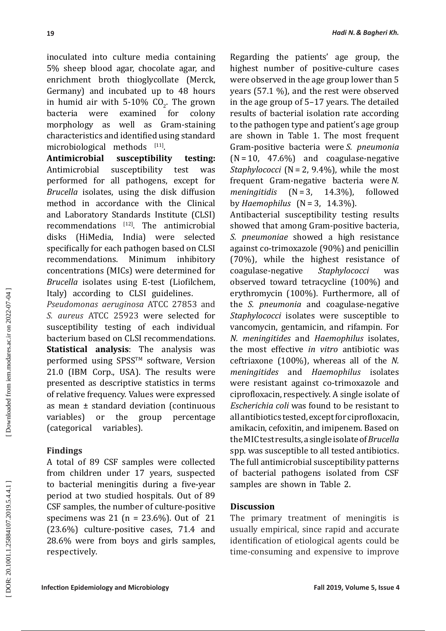inoculated into culture media containing 5% sheep blood agar, chocolate agar, and enrichment broth thioglycollate (Merck, Germany) and incubated up to 48 hours in humid air with 5-10%  $CO_2$ . The grown bacteria were examined for colony morphology as well as Gram-staining characteristics and identified using standard microbiological methods  $[11]$ .

**Antimicrobial susceptibility testing:**  Antimicrobial susceptibility test was performed for all pathogens, except for *Brucella* isolates, using the disk diffusion method in accordance with the Clinical and Laboratory Standards Institute (CLSI) recommendations [12]. The antimicrobial disks (HiMedia, India) were selected specifically for each pathogen based on CLSI<br>recommendations. Minimum inhibitory recommendations. Minimum inhibitory concentrations (MICs) were determined for *Brucella* isolates using E-test (Liofilchem, Italy) according to CLSI guidelines.

*Pseudomonas aeruginosa* ATCC 27853 and *S. aureus* ATCC 25923 were selected for susceptibility testing of each individual bacterium based on CLSI recommendations. **Statistical analysis**: The analysis was performed using SPSS™ software, Version 21.0 (IBM Corp., USA). The results were presented as descriptive statistics in terms of relative frequency. Values were expressed as mean ± standard deviation (continuous variables) or the group percentage (categorical variables).

### **Findings**

A total of 89 CSF samples were collected from children under 17 years, suspected to bacterial meningitis during a five-year period at two studied hospitals. Out of 89 CSF samples, the number of culture-positive specimens was 21 (n = 23.6%). Out of 21 (23.6%) culture-positive cases, 71.4 and 28.6% were from boys and girls samples, respectively.

Regarding the patients' age group, the highest number of positive-culture cases were observed in the age group lower than 5 years (57.1 %), and the rest were observed in the age group of 5–17 years. The detailed results of bacterial isolation rate according to the pathogen type and patient's age group are shown in Table 1. The most frequent Gram-positive bacteria were *S. pneumonia*  (N = 10, 47.6%) and coagulase-negative *Staphylococci* (N = 2, 9.4%), while the most frequent Gram-negative bacteria were *N. meningitidis* by *Haemophilus* (N = 3, 14.3%).

Antibacterial susceptibility testing results showed that among Gram-positive bacteria, *S. pneumoniae* showed a high resistance against co-trimoxazole (90%) and penicillin (70%), while the highest resistance of coagulase-negative *Staphylococci* was observed toward tetracycline (100%) and erythromycin (100%). Furthermore, all of the *S. pneumonia* and coagulase-negative *Staphylococci* isolates were susceptible to vancomycin, gentamicin, and rifampin. For *N. meningitides* and *Haemophilus* isolates, the most effective *in vitro* antibiotic was ceftriaxone (100%), whereas all of the *N. meningitides* and *Haemophilus* isolates were resistant against co-trimoxazole and ciprofloxacin, respectively. A single isolate of *Escherichia coli* was found to be resistant to all antibiotics tested, except for ciprofloxacin, amikacin, cefoxitin, and imipenem. Based on the MIC test results, a single isolate of *Brucella* spp. was susceptible to all tested antibiotics. The full antimicrobial susceptibility patterns of bacterial pathogens isolated from CSF samples are shown in Table 2.

### **Discussion**

The primary treatment of meningitis is usually empirical, since rapid and accurate identification of etiological agents could be time-consuming and expensive to improve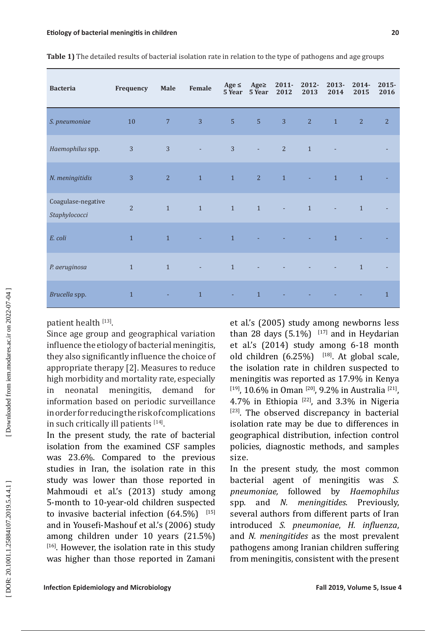| <b>Bacteria</b>                     | Frequency      | Male           | Female         | Age $\leq$<br>5 Year | Age $\ge$<br>5 Year | $2011 -$<br>2012         | 2012-<br>2013  | 2013-<br>2014            | $2014 -$<br>2015 | $2015 -$<br>2016 |
|-------------------------------------|----------------|----------------|----------------|----------------------|---------------------|--------------------------|----------------|--------------------------|------------------|------------------|
| S. pneumoniae                       | 10             | $\overline{7}$ | $\overline{3}$ | $\overline{5}$       | 5 <sup>1</sup>      | 3                        | $\overline{2}$ | $\mathbf{1}$             | $\overline{2}$   | $\overline{2}$   |
| Haemophilus spp.                    | 3              | $\overline{3}$ |                | $\overline{3}$       | ÷.                  | $\overline{2}$           | $\mathbf{1}$   |                          |                  |                  |
| N. meningitidis                     | $\overline{3}$ | 2              | $\,1\,$        | $\mathbf{1}$         | 2                   | $\mathbf{1}$             | $\sim$         | $\mathbf{1}$             | $\mathbf 1$      |                  |
| Coagulase-negative<br>Staphylococci | $\overline{2}$ | $\mathbf{1}$   | $\mathbf{1}$   | $\mathbf{1}$         | $\mathbf{1}$        | $\overline{\phantom{a}}$ | $\mathbf{1}$   | $\overline{\phantom{a}}$ | $\mathbf{1}$     |                  |
| E. coli                             | $\mathbf{1}$   | $\mathbf{1}$   |                | $\mathbf{1}$         |                     |                          |                | $\mathbf{1}$             |                  |                  |
| P. aeruginosa                       | $\mathbf{1}$   | $\mathbf{1}$   | ÷,             | $1\,$                |                     |                          |                |                          | $\mathbf{1}$     |                  |
| Brucella spp.                       | $\mathbf{1}$   | ٠              | $\mathbf{1}$   | ÷.                   | $\overline{1}$      |                          |                |                          |                  | $\mathbf{1}$     |

**Table 1)** The detailed results of bacterial isolation rate in relation to the type of pathogens and age groups

patient health [13].

Since age group and geographical variation influence the etiology of bacterial meningitis, they also significantly influence the choice of appropriate therapy [2]. Measures to reduce high morbidity and mortality rate, especially in neonatal meningitis, demand for information based on periodic surveillance in order for reducing the risk of complications in such critically ill patients  $[14]$ .

In the present study, the rate of bacterial isolation from the examined CSF samples was 23.6%. Compared to the previous studies in Iran, the isolation rate in this study was lower than those reported in Mahmoudi et al.'s (2013) study among 5-month to 10-year-old children suspected to invasive bacterial infection  $(64.5\%)$ <sup>[15]</sup> and in Yousefi-Mashouf et al.'s (2006) study among children under 10 years (21.5%)  $[16]$ . However, the isolation rate in this study was higher than those reported in Zamani

et al.'s (2005) study among newborns less than 28 days  $(5.1\%)$ <sup>[17]</sup> and in Heydarian et al.'s (2014) study among 6-18 month old children  $(6.25\%)$  [18]. At global scale, the isolation rate in children suspected to meningitis was reported as 17.9% in Kenya [19], 10.6% in Oman [20], 9.2% in Australia [21], 4.7% in Ethiopia  $[22]$ , and 3.3% in Nigeria [23]. The observed discrepancy in bacterial isolation rate may be due to differences in geographical distribution, infection control policies, diagnostic methods, and samples size.

In the present study, the most common bacterial agent of meningitis was *S. pneumoniae,* followed by *Haemophilus*  spp. and *N. meningitides*. Previously, several authors from different parts of Iran introduced *S. pneumoniae*, *H. influenza*, and *N. meningitides* as the most prevalent pathogens among Iranian children suffering from meningitis, consistent with the present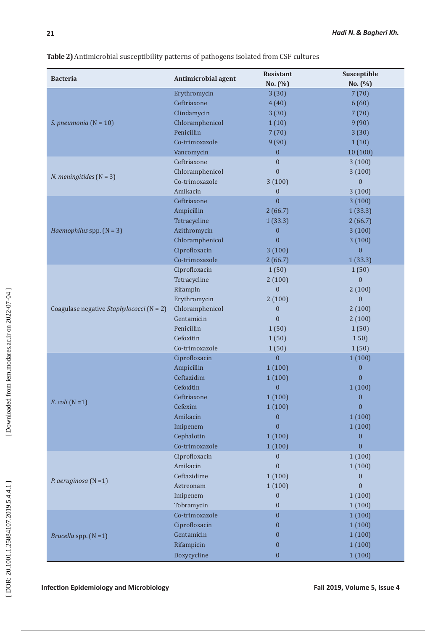**Table 2)** Antimicrobial susceptibility patterns of pathogens isolated from CSF cultures

| <b>Bacteria</b>                          | <b>Antimicrobial agent</b> | Resistant        | Susceptible      |  |  |
|------------------------------------------|----------------------------|------------------|------------------|--|--|
|                                          |                            | No. (%)          | No. (%)          |  |  |
|                                          | Erythromycin               | 3(30)            | 7(70)            |  |  |
|                                          | Ceftriaxone                | 4(40)            | 6(60)            |  |  |
|                                          | Clindamycin                | 3(30)            | 7(70)            |  |  |
| S. pneumonia $(N = 10)$                  | Chloramphenicol            | 1(10)            | 9(90)            |  |  |
|                                          | Penicillin                 | 7(70)            | 3(30)            |  |  |
|                                          | Co-trimoxazole             | 9(90)            | 1(10)            |  |  |
|                                          | Vancomycin                 | $\boldsymbol{0}$ | 10 (100)         |  |  |
|                                          | Ceftriaxone                | $\mathbf{0}$     | 3(100)           |  |  |
|                                          | Chloramphenicol            | $\overline{0}$   | 3(100)           |  |  |
| <i>N. meningitides</i> $(N = 3)$         | Co-trimoxazole             | 3(100)           | $\overline{0}$   |  |  |
|                                          | Amikacin                   | $\boldsymbol{0}$ | 3(100)           |  |  |
|                                          | Ceftriaxone                | $\overline{0}$   | 3(100)           |  |  |
|                                          | Ampicillin                 | 2(66.7)          | 1(33.3)          |  |  |
|                                          | Tetracycline               | 1(33.3)          | 2(66.7)          |  |  |
| Haemophilus spp. $(N = 3)$               | Azithromycin               | $\boldsymbol{0}$ | 3(100)           |  |  |
|                                          | Chloramphenicol            | $\mathbf{0}$     | 3(100)           |  |  |
|                                          | Ciprofloxacin              | 3(100)           | $\mathbf{0}$     |  |  |
|                                          | Co-trimoxazole             | 2(66.7)          | 1(33.3)          |  |  |
|                                          | Ciprofloxacin              | 1(50)            | 1(50)            |  |  |
|                                          | Tetracycline               | 2(100)           | $\mathbf{0}$     |  |  |
|                                          | Rifampin                   | $\boldsymbol{0}$ | 2(100)           |  |  |
|                                          | Erythromycin               | 2(100)           | $\mathbf{0}$     |  |  |
| Coagulase negative Staphylococci (N = 2) | Chloramphenicol            | $\boldsymbol{0}$ | 2(100)           |  |  |
|                                          | Gentamicin                 | $\mathbf{0}$     | 2(100)           |  |  |
|                                          | Penicillin                 | 1(50)            | 1(50)            |  |  |
|                                          | Cefoxitin                  | 1(50)            | 150)             |  |  |
|                                          | Co-trimoxazole             | 1(50)            | 1(50)            |  |  |
|                                          | Ciprofloxacin              | $\mathbf{0}$     | 1(100)           |  |  |
|                                          | Ampicillin                 | 1(100)           | $\mathbf{0}$     |  |  |
|                                          | Ceftazidim                 | 1(100)           | $\mathbf{0}$     |  |  |
|                                          | Cefoxitin                  | $\mathbf{0}$     | 1(100)           |  |  |
|                                          | Ceftriaxone                | 1(100)           | $\boldsymbol{0}$ |  |  |
| $E.$ coli $(N=1)$                        | Cefexim                    | 1(100)           | $\boldsymbol{0}$ |  |  |
|                                          | Amikacin                   | $\boldsymbol{0}$ | 1(100)           |  |  |
|                                          | Imipenem                   | $\mathbf{0}$     | 1(100)           |  |  |
|                                          | Cephalotin                 | 1(100)           | $\boldsymbol{0}$ |  |  |
|                                          | Co-trimoxazole             |                  | $\mathbf{0}$     |  |  |
|                                          |                            | 1(100)           |                  |  |  |
|                                          | Ciprofloxacin              | $\boldsymbol{0}$ | 1(100)           |  |  |
|                                          | Amikacin                   | $\overline{0}$   | 1(100)           |  |  |
| P. aeruginosa $(N = 1)$                  | Ceftazidime                | 1(100)           | $\mathbf{0}$     |  |  |
|                                          | Aztreonam                  | 1(100)           | $\Omega$         |  |  |
|                                          | Imipenem                   | $\boldsymbol{0}$ | 1(100)           |  |  |
|                                          | Tobramycin                 | $\mathbf{0}$     | 1(100)           |  |  |
|                                          | Co-trimoxazole             | $\mathbf{0}$     | 1(100)           |  |  |
|                                          | Ciprofloxacin              | $\boldsymbol{0}$ | 1(100)           |  |  |
| Brucella spp. $(N = 1)$                  | Gentamicin                 | $\boldsymbol{0}$ | 1(100)           |  |  |
|                                          | Rifampicin                 | $\boldsymbol{0}$ | 1(100)           |  |  |
|                                          | Doxycycline                | $\boldsymbol{0}$ | 1(100)           |  |  |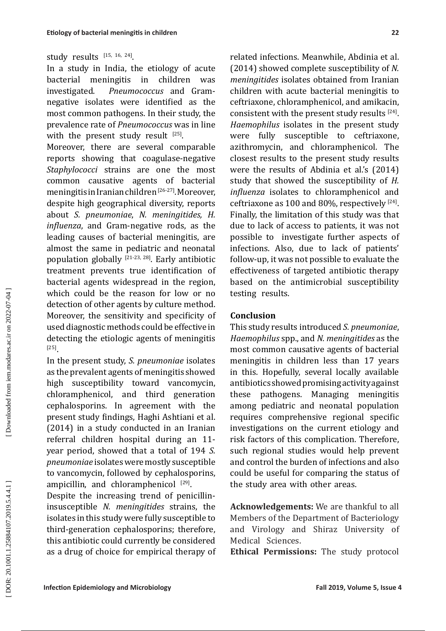## study results  $[15, 16, 24]$ .

In a study in India, the etiology of acute<br>bacterial meningitis in children was bacterial meningitis in children was investigated. *Pneumococcus* and Gramnegative isolates were identified as the most common pathogens. In their study, the prevalence rate of *Pneumococcus* was in line with the present study result  $^{[25]}$ .

Moreover, there are several comparable reports showing that coagulase-negative *Staphylococci* strains are one the most common causative agents of bacterial meningitis in Iranian children [26-27]. Moreover, despite high geographical diversity, reports about *S. pneumoniae* , *N. meningitides, H. influenza*, and Gram-negative rods, as the leading causes of bacterial meningitis, are almost the same in pediatric and neonatal population globally  $[21-23, 28]$ . Early antibiotic treatment prevents true identification of bacterial agents widespread in the region, which could be the reason for low or no detection of other agents by culture method. Moreover, the sensitivity and specificity of used diagnostic methods could be effective in detecting the etiologic agents of meningitis [25] .

In the present study, *S. pneumoniae* isolates as the prevalent agents of meningitis showed high susceptibility toward vancomycin, chloramphenicol, and third generation cephalosporins. In agreement with the present study findings, Haghi Ashtiani et al. (2014) in a study conducted in an Iranian referral children hospital during an 11 year period, showed that a total of 194 *S. pneumoniae* isolates were mostly susceptible to vancomycin, followed by cephalosporins, ampicillin, and chloramphenicol  $[29]$ .

Despite the increasing trend of penicillininsusceptible *N. meningitides* strains, the isolates in this study were fully susceptible to third-generation cephalosporins; therefore, this antibiotic could currently be considered as a drug of choice for empirical therapy of related infections. Meanwhile, Abdinia et al. (2014) showed complete susceptibility of *N. meningitides* isolates obtained from Iranian children with acute bacterial meningitis to ceftriaxone, chloramphenicol, and amikacin, consistent with the present study results  $[24]$ . *Haemophilus* isolates in the present study were fully susceptible to ceftriaxone, azithromycin, and chloramphenicol. The closest results to the present study results were the results of Abdinia et al.'s (2014) study that showed the susceptibility of *H. influenza* isolates to chloramphenicol and ceftriaxone as  $100$  and  $80\%$ , respectively  $^{[24]}$ . Finally, the limitation of this study was that due to lack of access to patients, it was not possible to investigate further aspects of infections. Also, due to lack of patients' follow-up, it was not possible to evaluate the effectiveness of targeted antibiotic therapy based on the antimicrobial susceptibility testing results.

### **Conclusion**

This study results introduced *S. pneumoniae*, *Haemophilus* spp., and *N. meningitides* as the most common causative agents of bacterial meningitis in children less than 17 years in this. Hopefully, several locally available antibiotics showed promising activity against these pathogens. Managing meningitis among pediatric and neonatal population requires comprehensive regional specific investigations on the current etiology and risk factors of this complication. Therefore, such regional studies would help prevent and control the burden of infections and also could be useful for comparing the status of the study area with other areas.

**Acknowledgements:** We are thankful to all Members of the Department of Bacteriology and Virology and Shiraz University of Medical Sciences.

**Ethical Permissions:** The study protocol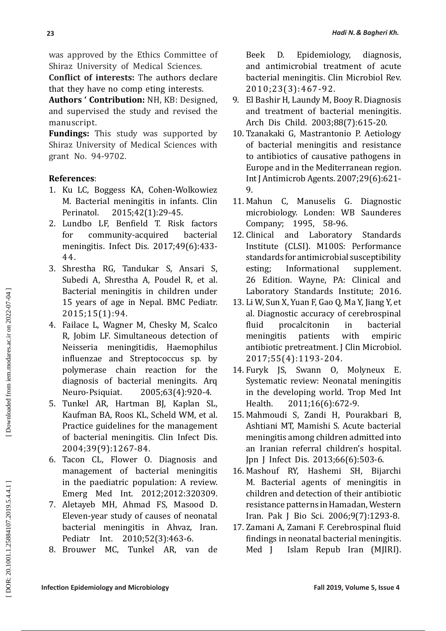was approved by the Ethics Committee of Shiraz University of Medical Sciences.

**Conflict of interests:**  The authors declare that they have no comp eting interests.

**Authors ' Contribution:** NH, KB: Designed, and supervised the study and revised the manuscript.

**Fundings:** This study was supported by Shiraz University of Medical Sciences with grant No. 94-9702.

## **References** :

- 1. Ku LC, Boggess KA, Cohen-Wolkowiez M. Bacterial meningitis in infants. Clin Perinatol. 2015;42(1):29-45.
- 2. Lundbo LF, Benfield T. Risk factors for community-acquired bacterial meningitis. Infect Dis. 2017;49(6):433- 44.
- 3. Shrestha RG, Tandukar S, Ansari S, Subedi A, Shrestha A, Poudel R, et al. Bacterial meningitis in children under 15 years of age in Nepal. BMC Pediatr. 2015;15(1):94.
- 4. Failace L, Wagner M, Chesky M, Scalco R, Jobim LF. Simultaneous detection of Neisseria meningitidis, Haemophilus influenzae and Streptococcus sp. by polymerase chain reaction for the diagnosis of bacterial meningits. Arq<br>Neuro-Psiquiat. 2005:63(4):920-4. 2005;63(4):920-4.
- 5. Tunkel AR, Hartman BJ, Kaplan SL, Kaufman BA, Roos KL, Scheld WM, et al. Practice guidelines for the management of bacterial meningitis. Clin Infect Dis. 2004;39(9):1267-84.
- 6. Tacon CL, Flower O. Diagnosis and management of bacterial meningitis in the paediatric population: A review. Emerg Med Int. 2012;2012:320309.
- 7. Aletayeb MH, Ahmad FS, Masood D. Eleven-year study of causes of neonatal bacterial meningitis in Ahvaz, Iran. Pediatr Int. 2010;52(3):463-6.
- 8. Brouwer MC, Tunkel AR, van de

Beek D. Epidemiology, diagnosis, and antimicrobial treatment of acute bacterial meningitis. Clin Microbiol Rev. 2010;23(3):467-92.

- 9. El Bashir H, Laundy M, Booy R. Diagnosis and treatment of bacterial meningitis. Arch Dis Child. 2003;88(7):615-20.
- 10. Tzanakaki G, Mastrantonio P. Aetiology of bacterial meningitis and resistance to antibiotics of causative pathogens in Europe and in the Mediterranean region. Int J Antimicrob Agents. 2007;29(6):621- 9.
- 11. Mahun C, Manuselis G. Diagnostic microbiology. Londen: WB Saunderes Company; 1995, 58-96.
- 12. Clinical and Laboratory Standards Institute (CLSI). M100S: Performance standards for antimicrobial susceptibility esting: Informational 26 Edition. Wayne, PA: Clinical and Laboratory Standards Institute; 2016.
- 13. Li W, Sun X, Yuan F, Gao Q, Ma Y, Jiang Y, et al. Diagnostic accuracy of cerebrospinal<br>fluid procalcitonin in bacterial procalcitonin in<br>tis patients with meningitis patients with empiric antibiotic pretreatment. J Clin Microbiol. 2017;55(4):1193-204.
- 14. Furyk JS, Swann O, Molyneux E. Systematic review: Neonatal meningitis in the developing world. Trop Med Int Health. 2011;16(6):672-9.
- 15. Mahmoudi S, Zandi H, Pourakbari B, Ashtiani MT, Mamishi S. Acute bacterial meningitis among children admitted into an Iranian referral children's hospital. Jpn J Infect Dis. 2013;66(6):503-6.
- 16. Mashouf RY, Hashemi SH, Bijarchi M. Bacterial agents of meningitis in children and detection of their antibiotic resistance patterns in Hamadan, Western Iran. Pak J Bio Sci. 2006;9(7):1293-8.
- 17. Zamani A, Zamani F. Cerebrospinal fluid findings in neonatal bacterial meningitis. Med J Islam Repub Iran (MJIRI).

DOR: 20.1001.1.25884107.2019.5.4.4.1